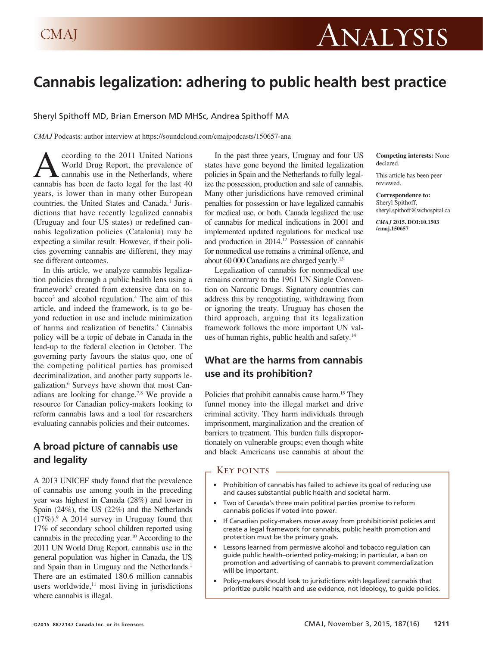# CMAJ ANALYSIS

## **Cannabis legalization: adhering to public health best practice**

Sheryl Spithoff MD, Brian Emerson MD MHSc, Andrea Spithoff MA

*CMAJ* Podcasts: author interview at https://soundcloud.com/cmajpodcasts/150657-ana

ccording to the 2011 United Nations World Drug Report, the prevalence of cannabis use in the Netherlands, where cannabis has been de facto legal for the last 40 years, is lower than in many other European countries, the United States and Canada.<sup>1</sup> Jurisdictions that have recently legalized cannabis (Uruguay and four US states) or redefined cannabis legalization policies (Catalonia) may be expecting a similar result. However, if their policies governing cannabis are different, they may see different outcomes.

In this article, we analyze cannabis legalization policies through a public health lens using a framework<sup>2</sup> created from extensive data on to $bacco<sup>3</sup>$  and alcohol regulation.<sup>4</sup> The aim of this article, and indeed the framework, is to go beyond reduction in use and include minimization of harms and realization of benefits.<sup>5</sup> Cannabis policy will be a topic of debate in Canada in the lead-up to the federal election in October. The governing party favours the status quo, one of the competing political parties has promised decriminalization, and another party supports legalization.6 Surveys have shown that most Canadians are looking for change.7,8 We provide a resource for Canadian policy-makers looking to reform cannabis laws and a tool for researchers evaluating cannabis policies and their outcomes.

## **A broad picture of cannabis use and legality**

A 2013 UNICEF study found that the prevalence of cannabis use among youth in the preceding year was highest in Canada (28%) and lower in Spain (24%), the US (22%) and the Netherlands (17%).9 A 2014 survey in Uruguay found that 17% of secondary school children reported using cannabis in the preceding year.10 According to the 2011 UN World Drug Report, cannabis use in the general population was higher in Canada, the US and Spain than in Uruguay and the Netherlands.<sup>1</sup> There are an estimated 180.6 million cannabis users worldwide, $11$  most living in jurisdictions where cannabis is illegal.

In the past three years, Uruguay and four US states have gone beyond the limited legalization policies in Spain and the Netherlands to fully legalize the possession, production and sale of cannabis. Many other jurisdictions have removed criminal penalties for possession or have legalized cannabis for medical use, or both. Canada legalized the use of cannabis for medical indications in 2001 and implemented updated regulations for medical use and production in 2014.12 Possession of cannabis for nonmedical use remains a criminal offence, and about 60 000 Canadians are charged yearly.13

Legalization of cannabis for nonmedical use remains contrary to the 1961 UN Single Convention on Narcotic Drugs. Signatory countries can address this by renegotiating, withdrawing from or ignoring the treaty. Uruguay has chosen the third approach, arguing that its legalization framework follows the more important UN values of human rights, public health and safety.14

## **What are the harms from cannabis use and its prohibition?**

Policies that prohibit cannabis cause harm.<sup>15</sup> They funnel money into the illegal market and drive criminal activity. They harm individuals through imprisonment, marginalization and the creation of barriers to treatment. This burden falls disproportionately on vulnerable groups; even though white and black Americans use cannabis at about the

## Key points

- Prohibition of cannabis has failed to achieve its goal of reducing use and causes substantial public health and societal harm.
- Two of Canada's three main political parties promise to reform cannabis policies if voted into power.
- If Canadian policy-makers move away from prohibitionist policies and create a legal framework for cannabis, public health promotion and protection must be the primary goals.
- Lessons learned from permissive alcohol and tobacco regulation can guide public health–oriented policy-making; in particular, a ban on promotion and advertising of cannabis to prevent commercialization will be important.
- Policy-makers should look to jurisdictions with legalized cannabis that prioritize public health and use evidence, not ideology, to guide policies.

#### **Competing interests:** None declared.

This article has been peer reviewed.

**Correspondence to:**  Sheryl Spithoff, sheryl.spithoff@wchospital.ca

*CMAJ* **2015. DOI:10.1503 /cmaj.150657**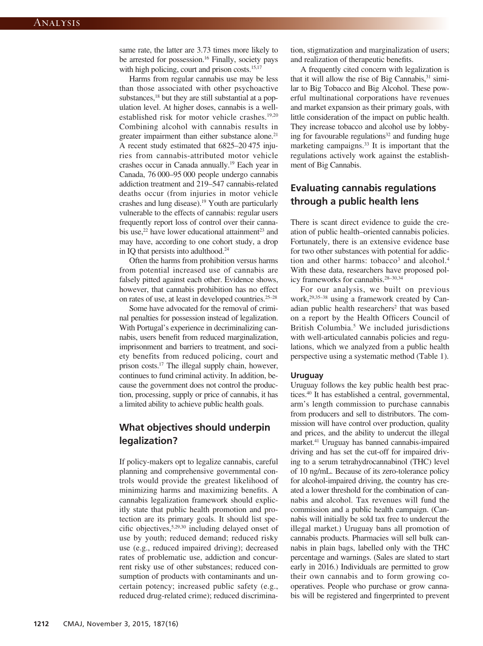same rate, the latter are 3.73 times more likely to be arrested for possession.<sup>16</sup> Finally, society pays with high policing, court and prison costs.<sup>15,17</sup>

Harms from regular cannabis use may be less than those associated with other psychoactive substances,<sup>18</sup> but they are still substantial at a population level. At higher doses, cannabis is a wellestablished risk for motor vehicle crashes.<sup>19,20</sup> Combining alcohol with cannabis results in greater impairment than either substance alone.<sup>21</sup> A recent study estimated that 6825–20 475 injuries from cannabis-attributed motor vehicle crashes occur in Canada annually.19 Each year in Canada, 76 000–95 000 people undergo cannabis addiction treatment and 219–547 cannabis-related deaths occur (from injuries in motor vehicle crashes and lung disease).19 Youth are particularly vulnerable to the effects of cannabis: regular users frequently report loss of control over their cannabis use, $22$  have lower educational attainment<sup>23</sup> and may have, according to one cohort study, a drop in IQ that persists into adulthood.24

Often the harms from prohibition versus harms from potential increased use of cannabis are falsely pitted against each other. Evidence shows, however, that cannabis prohibition has no effect on rates of use, at least in developed countries. $25-28$ 

Some have advocated for the removal of criminal penalties for possession instead of legalization. With Portugal's experience in decriminalizing cannabis, users benefit from reduced marginalization, imprisonment and barriers to treatment, and society benefits from reduced policing, court and prison costs.17 The illegal supply chain, however, continues to fund criminal activity. In addition, because the government does not control the production, processing, supply or price of cannabis, it has a limited ability to achieve public health goals.

## **What objectives should underpin legalization?**

If policy-makers opt to legalize cannabis, careful planning and comprehensive governmental controls would provide the greatest likelihood of minimizing harms and maximizing benefits. A cannabis legalization framework should explicitly state that public health promotion and protection are its primary goals. It should list specific objectives,5,29,30 including delayed onset of use by youth; reduced demand; reduced risky use (e.g., reduced impaired driving); decreased rates of problematic use, addiction and concurrent risky use of other substances; reduced consumption of products with contaminants and uncertain potency; increased public safety (e.g., reduced drug-related crime); reduced discrimination, stigmatization and marginalization of users; and realization of therapeutic benefits.

A frequently cited concern with legalization is that it will allow the rise of Big Cannabis, $31 \sinh^{-1}$ lar to Big Tobacco and Big Alcohol. These powerful multinational corporations have revenues and market expansion as their primary goals, with little consideration of the impact on public health. They increase tobacco and alcohol use by lobbying for favourable regulations<sup>32</sup> and funding huge marketing campaigns.<sup>33</sup> It is important that the regulations actively work against the establishment of Big Cannabis.

## **Evaluating cannabis regulations through a public health lens**

There is scant direct evidence to guide the creation of public health–oriented cannabis policies. Fortunately, there is an extensive evidence base for two other substances with potential for addiction and other harms: tobacco<sup>3</sup> and alcohol.<sup>4</sup> With these data, researchers have proposed policy frameworks for cannabis.28–30,34

For our analysis, we built on previous work,29,35–38 using a framework created by Canadian public health researchers<sup>2</sup> that was based on a report by the Health Officers Council of British Columbia.<sup>5</sup> We included jurisdictions with well-articulated cannabis policies and regulations, which we analyzed from a public health perspective using a systematic method (Table 1).

#### **Uruguay**

Uruguay follows the key public health best practices.40 It has established a central, governmental, arm's length commission to purchase cannabis from producers and sell to distributors. The commission will have control over production, quality and prices, and the ability to undercut the illegal market.41 Uruguay has banned cannabis-impaired driving and has set the cut-off for impaired driving to a serum tetrahydrocannabinol (THC) level of 10 ng/mL. Because of its zero-tolerance policy for alcohol-impaired driving, the country has created a lower threshold for the combination of cannabis and alcohol. Tax revenues will fund the commission and a public health campaign. (Cannabis will initially be sold tax free to undercut the illegal market.) Uruguay bans all promotion of cannabis products. Pharmacies will sell bulk cannabis in plain bags, labelled only with the THC percentage and warnings. (Sales are slated to start early in 2016.) Individuals are permitted to grow their own cannabis and to form growing cooperatives. People who purchase or grow cannabis will be registered and fingerprinted to prevent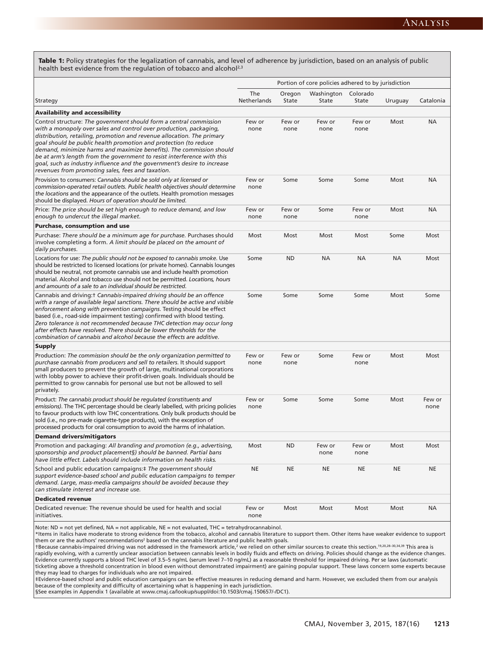Table 1: Policy strategies for the legalization of cannabis, and level of adherence by jurisdiction, based on an analysis of public health best evidence from the regulation of tobacco and alcohol<sup>2,3</sup>

|                                                                                                                                                                                                                                                                                                                                                                                                                                                                                                                                                                            | Portion of core policies adhered to by jurisdiction |                 |                              |                |         |                |
|----------------------------------------------------------------------------------------------------------------------------------------------------------------------------------------------------------------------------------------------------------------------------------------------------------------------------------------------------------------------------------------------------------------------------------------------------------------------------------------------------------------------------------------------------------------------------|-----------------------------------------------------|-----------------|------------------------------|----------------|---------|----------------|
| Strategy                                                                                                                                                                                                                                                                                                                                                                                                                                                                                                                                                                   | The<br>Netherlands                                  | Oregon<br>State | Washington Colorado<br>State | State          | Uruguay | Catalonia      |
| <b>Availability and accessibility</b>                                                                                                                                                                                                                                                                                                                                                                                                                                                                                                                                      |                                                     |                 |                              |                |         |                |
| Control structure: The government should form a central commission<br>with a monopoly over sales and control over production, packaging,<br>distribution, retailing, promotion and revenue allocation. The primary<br>goal should be public health promotion and protection (to reduce<br>demand, minimize harms and maximize benefits). The commission should<br>be at arm's length from the government to resist interference with this<br>goal, such as industry influence and the government's desire to increase<br>revenues from promoting sales, fees and taxation. | Few or<br>none                                      | Few or<br>none  | Few or<br>none               | Few or<br>none | Most    | NА             |
| Provision to consumers: Cannabis should be sold only at licensed or<br>commission-operated retail outlets. Public health objectives should determine<br>the locations and the appearance of the outlets. Health promotion messages<br>should be displayed. Hours of operation should be limited.                                                                                                                                                                                                                                                                           | Few or<br>none                                      | Some            | Some                         | Some           | Most    | <b>NA</b>      |
| Price: The price should be set high enough to reduce demand, and low<br>enough to undercut the illegal market.                                                                                                                                                                                                                                                                                                                                                                                                                                                             | Few or<br>none                                      | Few or<br>none  | Some                         | Few or<br>none | Most    | NА             |
| Purchase, consumption and use                                                                                                                                                                                                                                                                                                                                                                                                                                                                                                                                              |                                                     |                 |                              |                |         |                |
| Purchase: There should be a minimum age for purchase. Purchases should<br>involve completing a form. A limit should be placed on the amount of<br>daily purchases.                                                                                                                                                                                                                                                                                                                                                                                                         | Most                                                | Most            | Most                         | Most           | Some    | Most           |
| Locations for use: The public should not be exposed to cannabis smoke. Use<br>should be restricted to licensed locations (or private homes). Cannabis lounges<br>should be neutral, not promote cannabis use and include health promotion<br>material. Alcohol and tobacco use should not be permitted. Locations, hours<br>and amounts of a sale to an individual should be restricted.                                                                                                                                                                                   | Some                                                | <b>ND</b>       | <b>NA</b>                    | <b>NA</b>      | NА      | Most           |
| Cannabis and driving: t Cannabis-impaired driving should be an offence<br>with a range of available legal sanctions. There should be active and visible<br>enforcement along with prevention campaigns. Testing should be effect<br>based (i.e., road-side impairment testing) confirmed with blood testing.<br>Zero tolerance is not recommended because THC detection may occur long<br>after effects have resolved. There should be lower thresholds for the<br>combination of cannabis and alcohol because the effects are additive.                                   | Some                                                | Some            | Some                         | Some           | Most    | Some           |
| <b>Supply</b>                                                                                                                                                                                                                                                                                                                                                                                                                                                                                                                                                              |                                                     |                 |                              |                |         |                |
| Production: The commission should be the only organization permitted to<br>purchase cannabis from producers and sell to retailers. It should support<br>small producers to prevent the growth of large, multinational corporations<br>with lobby power to achieve their profit-driven goals. Individuals should be<br>permitted to grow cannabis for personal use but not be allowed to sell<br>privately.                                                                                                                                                                 | Few or<br>none                                      | Few or<br>none  | Some                         | Few or<br>none | Most    | Most           |
| Product: The cannabis product should be regulated (constituents and<br>emissions). The THC percentage should be clearly labelled, with pricing policies<br>to favour products with low THC concentrations. Only bulk products should be<br>sold (i.e., no pre-made cigarette-type products), with the exception of<br>processed products for oral consumption to avoid the harms of inhalation.                                                                                                                                                                            | Few or<br>none                                      | Some            | Some                         | Some           | Most    | Few or<br>none |
| <b>Demand drivers/mitigators</b>                                                                                                                                                                                                                                                                                                                                                                                                                                                                                                                                           |                                                     |                 |                              |                |         |                |
| Promotion and packaging: All branding and promotion (e.g., advertising,<br>sponsorship and product placement§) should be banned. Partial bans<br>have little effect. Labels should include information on health risks.                                                                                                                                                                                                                                                                                                                                                    | Most                                                | ND.             | Few or<br>none               | Few or<br>none | Most    | Most           |
| School and public education campaigns:# The government should<br>support evidence-based school and public education campaigns to temper<br>demand. Large, mass-media campaigns should be avoided because they<br>can stimulate interest and increase use.                                                                                                                                                                                                                                                                                                                  | NE                                                  | <b>NE</b>       | NE                           | <b>NE</b>      | NE      | <b>NE</b>      |
| <b>Dedicated revenue</b>                                                                                                                                                                                                                                                                                                                                                                                                                                                                                                                                                   |                                                     |                 |                              |                |         |                |
| Dedicated revenue: The revenue should be used for health and social<br>initiatives.                                                                                                                                                                                                                                                                                                                                                                                                                                                                                        | Few or<br>none                                      | Most            | Most                         | Most           | Most    | ΝA             |
| Note: $ND = not$ yet defined, $NA = not$ applicable, $NE = not$ evaluated, $THC = tetra$ hydrocannabinol.<br>*Items in italics have moderate to strong evidence from the tobacco, alcohol and cannabis literature to support them. Other items have weaker evidence to support                                                                                                                                                                                                                                                                                             |                                                     |                 |                              |                |         |                |

\*Items in italics have moderate to strong evidence from the tobacco, alcohol and cannabis literature to support them. Other items have weaker evidence to support<br>them or are the authors' recommendations<sup>2</sup> based on the can

†Because cannabis-impaired driving was not addressed in the framework article,2 we relied on other similar sourcesto create this section.19,20,28–30,34,39 This area is rapidly evolving, with a currently unclear association between cannabis levels in bodily fluids and effects on driving. Policies should change as the evidence changes. Evidence currently supports a blood THC level of 3.5–5 ng/mL (serum level 7–10 ng/mL) as a reasonable threshold for impaired driving. Per se laws (automatic ticketing above a threshold concentration in blood even without demonstrated impairment) are gaining popular support. These laws concern some experts because they may lead to charges for individuals who are not impaired.

‡Evidence-based school and public education campaigns can be effective measures in reducing demand and harm. However, we excluded them from our analysis because of the complexity and difficulty of ascertaining what is happening in each jurisdiction.

§See examples in Appendix 1 (available at www.cmaj.ca/lookup/suppl/doi:10.1503/cmaj.150657/-/DC1).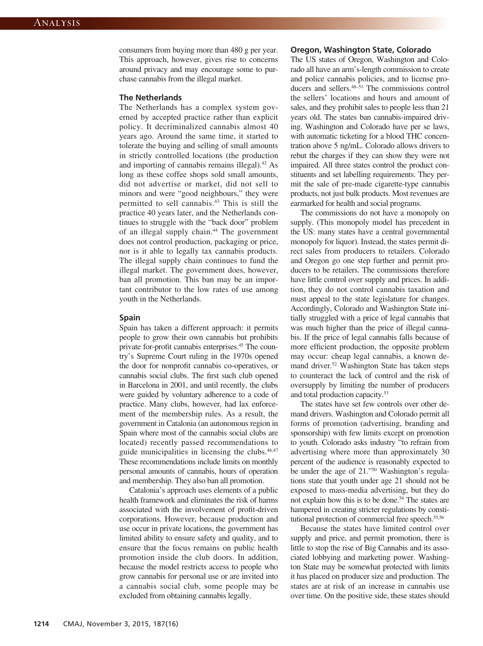consumers from buying more than 480 g per year. This approach, however, gives rise to concerns around privacy and may encourage some to purchase cannabis from the illegal market.

### **The Netherlands**

The Netherlands has a complex system governed by accepted practice rather than explicit policy. It decriminalized cannabis almost 40 years ago. Around the same time, it started to tolerate the buying and selling of small amounts in strictly controlled locations (the production and importing of cannabis remains illegal).<sup>42</sup> As long as these coffee shops sold small amounts, did not advertise or market, did not sell to minors and were "good neighbours," they were permitted to sell cannabis.43 This is still the practice 40 years later, and the Netherlands continues to struggle with the "back door" problem of an illegal supply chain.<sup>44</sup> The government does not control production, packaging or price, nor is it able to legally tax cannabis products. The illegal supply chain continues to fund the illegal market. The government does, however, ban all promotion. This ban may be an important contributor to the low rates of use among youth in the Netherlands.

## **Spain**

Spain has taken a different approach: it permits people to grow their own cannabis but prohibits private for-profit cannabis enterprises.45 The country's Supreme Court ruling in the 1970s opened the door for nonprofit cannabis co-operatives, or cannabis social clubs. The first such club opened in Barcelona in 2001, and until recently, the clubs were guided by voluntary adherence to a code of practice. Many clubs, however, had lax enforcement of the membership rules. As a result, the government in Catalonia (an autonomous region in Spain where most of the cannabis social clubs are located) recently passed recommendations to guide municipalities in licensing the clubs. $46,47$ These recommendations include limits on monthly personal amounts of cannabis, hours of operation and membership. They also ban all promotion.

Catalonia's approach uses elements of a public health framework and eliminates the risk of harms associated with the involvement of profit-driven corporations. However, because production and use occur in private locations, the government has limited ability to ensure safety and quality, and to ensure that the focus remains on public health promotion inside the club doors. In addition, because the model restricts access to people who grow cannabis for personal use or are invited into a cannabis social club, some people may be excluded from obtaining cannabis legally.

### **Oregon, Washington State, Colorado**

The US states of Oregon, Washington and Colorado all have an arm's-length commission to create and police cannabis policies, and to license producers and sellers.48–51 The commissions control the sellers' locations and hours and amount of sales, and they prohibit sales to people less than 21 years old. The states ban cannabis-impaired driving. Washington and Colorado have per se laws, with automatic ticketing for a blood THC concentration above 5 ng/mL. Colorado allows drivers to rebut the charges if they can show they were not impaired. All three states control the product constituents and set labelling requirements. They permit the sale of pre-made cigarette-type cannabis products, not just bulk products. Most revenues are earmarked for health and social programs.

The commissions do not have a monopoly on supply. (This monopoly model has precedent in the US: many states have a central governmental monopoly for liquor). Instead, the states permit direct sales from producers to retailers. Colorado and Oregon go one step further and permit producers to be retailers. The commissions therefore have little control over supply and prices. In addition, they do not control cannabis taxation and must appeal to the state legislature for changes. Accordingly, Colorado and Washington State initially struggled with a price of legal cannabis that was much higher than the price of illegal cannabis. If the price of legal cannabis falls because of more efficient production, the opposite problem may occur: cheap legal cannabis, a known demand driver.52 Washington State has taken steps to counteract the lack of control and the risk of oversupply by limiting the number of producers and total production capacity.53

The states have set few controls over other demand drivers. Washington and Colorado permit all forms of promotion (advertising, branding and sponsorship) with few limits except on promotion to youth. Colorado asks industry "to refrain from advertising where more than approximately 30 percent of the audience is reasonably expected to be under the age of 21."50 Washington's regulations state that youth under age 21 should not be exposed to mass-media advertising, but they do not explain how this is to be done.<sup>54</sup> The states are hampered in creating stricter regulations by constitutional protection of commercial free speech.55,56

Because the states have limited control over supply and price, and permit promotion, there is little to stop the rise of Big Cannabis and its associated lobbying and marketing power. Washington State may be somewhat protected with limits it has placed on producer size and production. The states are at risk of an increase in cannabis use over time. On the positive side, these states should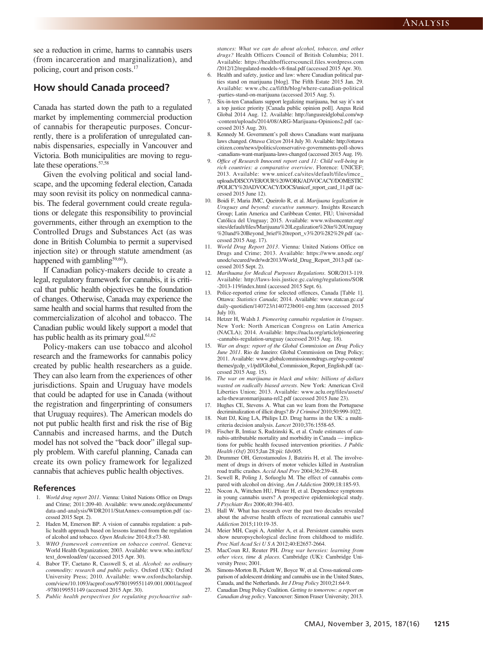see a reduction in crime, harms to cannabis users (from incarceration and marginalization), and policing, court and prison costs.17

## **How should Canada proceed?**

Canada has started down the path to a regulated market by implementing commercial production of cannabis for therapeutic purposes. Concurrently, there is a proliferation of unregulated cannabis dispensaries, especially in Vancouver and Victoria. Both municipalities are moving to regulate these operations.<sup>57,58</sup>

Given the evolving political and social landscape, and the upcoming federal election, Canada may soon revisit its policy on nonmedical cannabis. The federal government could create regulations or delegate this responsibility to provincial governments, either through an exemption to the Controlled Drugs and Substances Act (as was done in British Columbia to permit a supervised injection site) or through statute amendment (as happened with gambling<sup>59,60</sup>).

If Canadian policy-makers decide to create a legal, regulatory framework for cannabis, it is critical that public health objectives be the foundation of changes. Otherwise, Canada may experience the same health and social harms that resulted from the commercialization of alcohol and tobacco. The Canadian public would likely support a model that has public health as its primary goal.<sup>61,62</sup>

Policy-makers can use tobacco and alcohol research and the frameworks for cannabis policy created by public health researchers as a guide. They can also learn from the experiences of other jurisdictions. Spain and Uruguay have models that could be adapted for use in Canada (without the registration and fingerprinting of consumers that Uruguay requires). The American models do not put public health first and risk the rise of Big Cannabis and increased harms, and the Dutch model has not solved the "back door" illegal supply problem. With careful planning, Canada can create its own policy framework for legalized cannabis that achieves public health objectives.

#### **References**

- 1. *World drug report 2011*. Vienna: United Nations Office on Drugs and Crime; 2011:209-40. Available: www.unodc.org/documents/ data-and-analysis/WDR2011/StatAnnex-consumption.pdf (accessed 2015 Sept. 2).
- 2. Haden M, Emerson BP. A vision of cannabis regulation: a public health approach based on lessons learned from the regulation of alcohol and tobacco. *Open Medicine* 2014;8:e73-80.
- 3. *WHO framework convention on tobacco control*. Geneva: World Health Organization; 2003. Available: www.who.int/fctc/ text\_download/en/ (accessed 2015 Apr. 30).
- 4. Babor TF, Caetano R, Casswell S, et al. *Alcohol: no ordinary commodity: research and public policy.* Oxford (UK): Oxford University Press; 2010. Available: www.oxfordscholarship. com/view/10.1093/acprof:oso/9780199551149.001.0001/acprof -9780199551149 (accessed 2015 Apr. 30).
- 5. *Public health perspectives for regulating psychoactive sub-*

*stances: What we can do about alcohol, tobacco, and other drugs?* Health Officers Council of British Columbia; 2011. Available: https://healthofficerscouncil.files.wordpress.com /2012/12/regulated-models-v8-final.pdf (accessed 2015 Apr. 30).

- 6. Health and safety, justice and law: where Canadian political parties stand on marijuana [blog]. The Fifth Estate 2015 Jan. 29. Available: www.cbc.ca/fifth/blog/where-canadian-political -parties-stand-on-marijuana (accessed 2015 Aug. 5).
- 7. Six-in-ten Canadians support legalizing marijuana, but say it's not a top justice priority [Canada public opinion poll]. Angus Reid Global 2014 Aug. 12. Available: http://angusreidglobal.com/wp -content/uploads/2014/08/ARG-Marijuana-Opinions2.pdf (accessed 2015 Aug. 20).
- 8. Kennedy M. Government's poll shows Canadians want marijuana laws changed. *Ottawa Citizen* 2014 July 30. Available: http://ottawa citizen.com/news/politics/conservative-governments-poll-shows -canadians-want-marijuana-laws-changed (accessed 2015 Aug. 19).
- 9. *Office of Research Innocenti report card 11: Child well-being in rich countries: a comparative overview*. Florence: UNICEF; 2013. Available: www.unicef.ca/sites/default/files/imce\_ uploads/DISCOVER/OUR%20WORK/ADVOCACY/DOMESTIC /POLICY%20ADVOCACY/DOCS/unicef\_report\_card\_11.pdf (accessed 2015 June 12).
- 10. Boidi F, Maria JMC, Queirolo R, et al. *Marijuana legalization in Uruguay and beyond: executive summary*. Insights Research Group; Latin America and Caribbean Center, FIU; Universidad Católica del Uruguay; 2015. Available: www.wilsoncenter.org/ sites/default/files/Marijuana%20Legalization%20in%20Uruguay %20and%20Beyond\_brief%20report\_v3%20%282%29.pdf (accessed 2015 Aug. 17).
- 11. *World Drug Report 2013*. Vienna: United Nations Office on Drugs and Crime; 2013. Available: https://www.unodc.org/ unodc/secured/wdr/wdr2013/World\_Drug\_Report\_2013.pdf (accessed 2015 Sept. 2).
- 12. *Marihuana for Medical Purposes Regulations*. SOR/2013-119. Available: http://laws-lois.justice.gc.ca/eng/regulations/SOR -2013-119/index.html (accessed 2015 Sept. 6).
- 13. Police-reported crime for selected offences, Canada [Table 1]. Ottawa: *Statistics Canada*; 2014. Available: www.statcan.gc.ca/ daily-quotidien/140723/t140723b001-eng.htm (accessed 2015 July 10).
- 14. Hetzer H, Walsh J. *Pioneering cannabis regulation in Uruguay*. New York: North American Congress on Latin America (NACLA); 2014. Available: https://nacla.org/article/pioneering -cannabis-regulation-uruguay (accessed 2015 Aug. 18).
- 15. *War on drugs: report of the Global Commission on Drug Policy June 2011*. Rio de Janeiro: Global Commission on Drug Policy; 2011. Available: www.globalcommissionondrugs.org/wp-content/ themes/gcdp\_v1/pdf/Global\_Commission\_Report\_English.pdf (accessed 2015 Aug. 15).
- 16. *The war on marijuana in black and white: billions of dollars wasted on radically biased arrests*. New York: American Civil Liberties Union; 2013. Available: www.aclu.org/files/assets/ aclu-thewaronmarijuana-rel2.pdf (accessed 2015 June 23).
- 17. Hughes CE, Stevens A. What can we learn from the Portuguese decriminalization of illicit drugs? *Br J Criminol* 2010;50:999-1022.
- 18. Nutt DJ, King LA, Philips LD. Drug harms in the UK: a multicriteria decision analysis. *Lancet* 2010;376:1558-65.
- 19. Fischer B, Imtiaz S, Rudzinski K, et al. Crude estimates of cannabis-attributable mortality and morbidity in Canada — implications for public health focused intervention priorities. *J Public Health (Oxf)* 2015;Jan 28:pii: fdv005.
- 20. Drummer OH, Gerostamoulos J, Batziris H, et al. The involvement of drugs in drivers of motor vehicles killed in Australian road traffic crashes. *Accid Anal Prev* 2004;36:239-48.
- Sewell R, Poling J, Sofuoglu M. The effect of cannabis compared with alcohol on driving. *Am J Addiction* 2009;18:185-93.
- 22. Nocon A, Wittchen HU, Pfister H, et al. Dependence symptoms in young cannabis users? A prospective epidemiological study. *J Psychiatr Res* 2006;40:394-403.
- 23. Hall W. What has research over the past two decades revealed about the adverse health effects of recreational cannabis use? *Addiction* 2015;110:19-35.
- 24. Meier MH, Caspi A, Ambler A, et al. Persistent cannabis users show neuropsychological decline from childhood to midlife. *Proc Natl Acad Sci U S A* 2012;40:E2657-2664.
- 25. MacCoun RJ, Reuter PH. *Drug war heresies: learning from other vices, time & places*. Cambridge (UK): Cambridge University Press; 2001.
- Simons-Morton B, Pickett W, Boyce W, et al. Cross-national comparison of adolescent drinking and cannabis use in the United States, Canada, and the Netherlands. *Int J Drug Policy* 2010;21:64-9.
- 27. Canadian Drug Policy Coalition. *Getting to tomorrow: a report on Canadian drug policy*. Vancouver: Simon Fraser University; 2013.